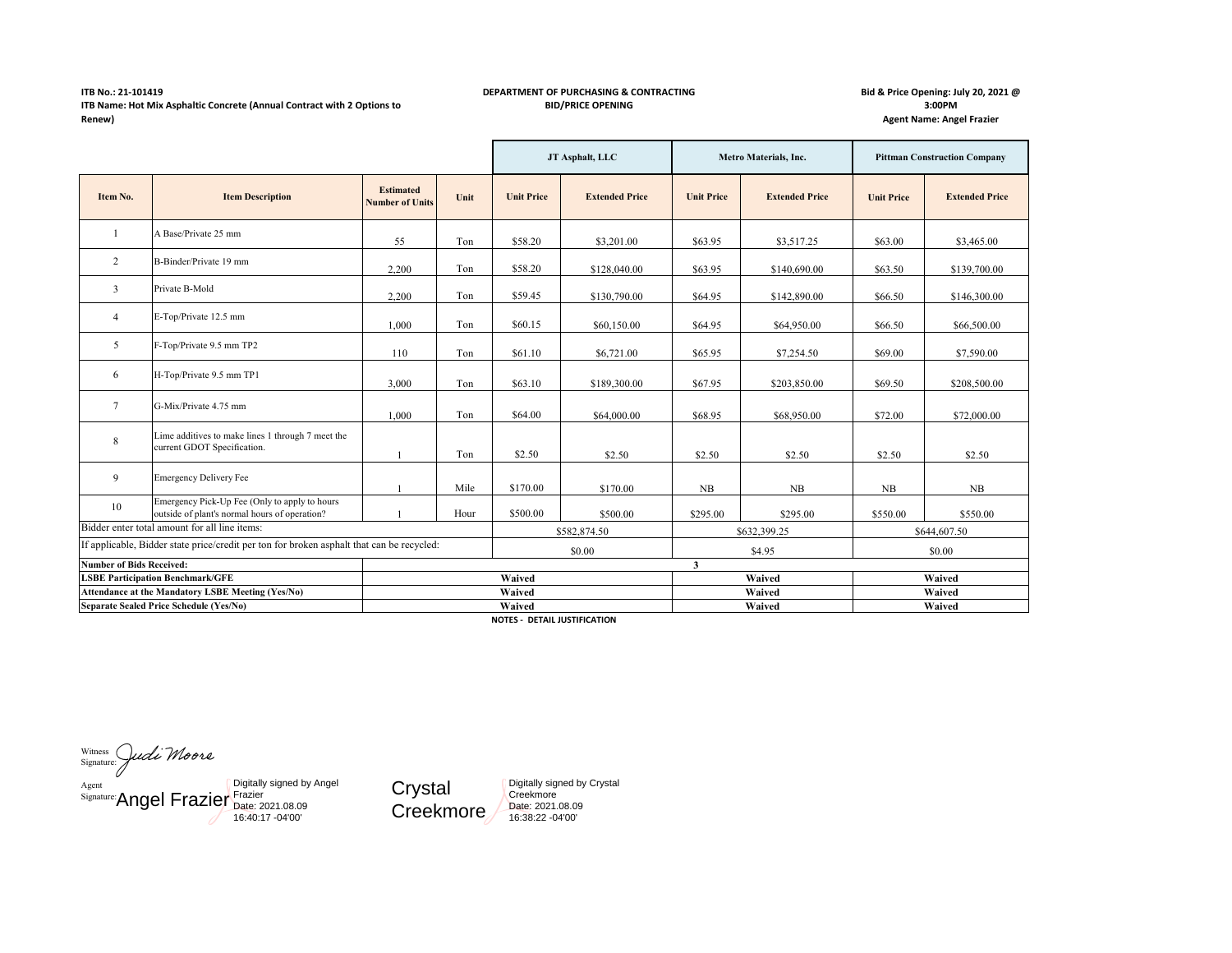## **ITB No.: 21-101419 ITB Name: Hot Mix Asphaltic Concrete (Annual Contract with 2 Options to Renew)**

## **DEPARTMENT OF PURCHASING & CONTRACTING BID/PRICE OPENING**

**Bid & Price Opening: July 20, 2021 @ 3:00PM Agent Name: Angel Frazier**

|                                                                                           |                                                                                                |                                            | JT Asphalt, LLC |                   | Metro Materials, Inc. |                   | <b>Pittman Construction Company</b> |                   |                       |
|-------------------------------------------------------------------------------------------|------------------------------------------------------------------------------------------------|--------------------------------------------|-----------------|-------------------|-----------------------|-------------------|-------------------------------------|-------------------|-----------------------|
| Item No.                                                                                  | <b>Item Description</b>                                                                        | <b>Estimated</b><br><b>Number of Units</b> | Unit            | <b>Unit Price</b> | <b>Extended Price</b> | <b>Unit Price</b> | <b>Extended Price</b>               | <b>Unit Price</b> | <b>Extended Price</b> |
|                                                                                           | A Base/Private 25 mm                                                                           | 55                                         | Ton             | \$58.20           | \$3,201.00            | \$63.95           | \$3,517.25                          | \$63.00           | \$3,465.00            |
| 2                                                                                         | B-Binder/Private 19 mm                                                                         | 2,200                                      | Ton             | \$58.20           | \$128,040.00          | \$63.95           | \$140,690.00                        | \$63.50           | \$139,700.00          |
| 3                                                                                         | Private B-Mold                                                                                 | 2,200                                      | Ton             | \$59.45           | \$130,790.00          | \$64.95           | \$142,890.00                        | \$66.50           | \$146,300.00          |
| $\overline{4}$                                                                            | E-Top/Private 12.5 mm                                                                          | 1,000                                      | Ton             | \$60.15           | \$60,150.00           | \$64.95           | \$64,950.00                         | \$66.50           | \$66,500.00           |
| 5                                                                                         | F-Top/Private 9.5 mm TP2                                                                       | 110                                        | Ton             | \$61.10           | \$6,721.00            | \$65.95           | \$7,254.50                          | \$69.00           | \$7,590.00            |
| 6                                                                                         | H-Top/Private 9.5 mm TP1                                                                       | 3,000                                      | Ton             | \$63.10           | \$189,300.00          | \$67.95           | \$203,850.00                        | \$69.50           | \$208,500.00          |
| $\tau$                                                                                    | G-Mix/Private 4.75 mm                                                                          | 1,000                                      | Ton             | \$64.00           | \$64,000.00           | \$68.95           | \$68,950.00                         | \$72.00           | \$72,000.00           |
| 8                                                                                         | Lime additives to make lines 1 through 7 meet the<br>current GDOT Specification.               |                                            | Ton             | \$2.50            | \$2.50                | \$2.50            | \$2.50                              | \$2.50            | \$2.50                |
| 9                                                                                         | <b>Emergency Delivery Fee</b>                                                                  |                                            | Mile            | \$170.00          | \$170.00              | $_{\rm NB}$       | NB                                  | NB                | NB                    |
| 10                                                                                        | Emergency Pick-Up Fee (Only to apply to hours<br>outside of plant's normal hours of operation? |                                            | Hour            | \$500.00          | \$500.00              | \$295.00          | \$295.00                            | \$550.00          | \$550.00              |
| Bidder enter total amount for all line items:                                             |                                                                                                | \$582,874.50                               |                 | \$632,399.25      |                       | \$644,607.50      |                                     |                   |                       |
| If applicable, Bidder state price/credit per ton for broken asphalt that can be recycled: |                                                                                                |                                            | \$0.00          |                   | \$4.95                |                   | \$0.00                              |                   |                       |
| <b>Number of Bids Received:</b>                                                           |                                                                                                |                                            |                 |                   |                       | 3                 |                                     |                   |                       |
| <b>LSBE Participation Benchmark/GFE</b>                                                   |                                                                                                |                                            |                 | Waived            |                       | Waived            |                                     | Waived            |                       |
| Attendance at the Mandatory LSBE Meeting (Yes/No)                                         |                                                                                                |                                            | Waived          |                   |                       | Waived            |                                     | Waived            |                       |
| Separate Sealed Price Schedule (Yes/No)                                                   |                                                                                                | Waived                                     |                 |                   | Waived                |                   | Waived                              |                   |                       |

**NOTES - DETAIL JUSTIFICATION**

Witness Signature[:](https://na2.documents.adobe.com/verifier?tx=CBJCHBCAABAAOheRVdMIjg5Rr3ofDL3p6efaOHSMIFIT) Agent<br>
Signature: Angel Frazier Frate: 2021.08.09<br>
16:40:17 -04'00' Digitally signed by Angel

**Crystal** Creekmore Digitally signed by Crystal **Creekmore** Date: 2021.08.09 16:38:22 -04'00'